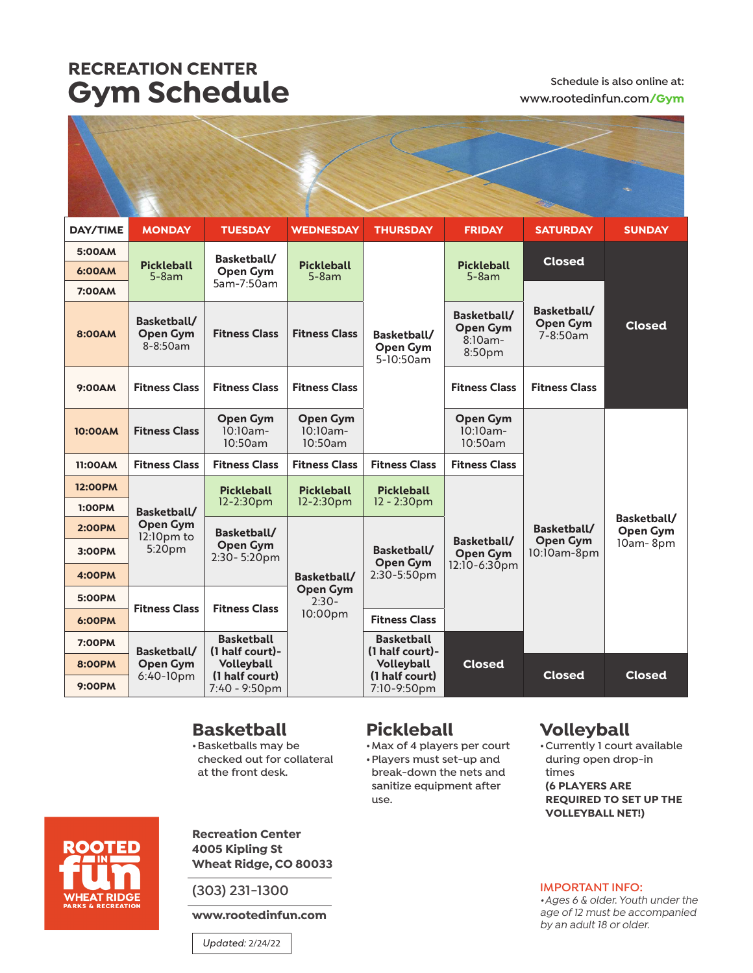## **RECREATION CENTER Gym Schedule Schedule Schedule is also online at:**

# **www.rootedinfun.com/Gym**

| DAY/TIME       | <b>MONDAY</b>                                                              | <b>TUESDAY</b>                                            | <b>WEDNESDAY</b>                                     | <b>THURSDAY</b>                                                                     | <b>FRIDAY</b>                                          | <b>SATURDAY</b>                                 | <b>SUNDAY</b>                              |
|----------------|----------------------------------------------------------------------------|-----------------------------------------------------------|------------------------------------------------------|-------------------------------------------------------------------------------------|--------------------------------------------------------|-------------------------------------------------|--------------------------------------------|
| 5:00AM         | <b>Pickleball</b><br>$5-8am$<br>Basketball/<br><b>Open Gym</b><br>8-8:50am | Basketball/<br><b>Open Gym</b><br>5am-7:50am              | <b>Pickleball</b><br>$5-8am$                         | Basketball/<br><b>Open Gym</b><br>5-10:50am                                         | <b>Pickleball</b><br>$5-8am$                           |                                                 | <b>Closed</b><br><b>Closed</b>             |
| 6:00AM         |                                                                            |                                                           |                                                      |                                                                                     |                                                        |                                                 |                                            |
| <b>7:00AM</b>  |                                                                            |                                                           |                                                      |                                                                                     |                                                        | Basketball/<br><b>Open Gym</b><br>$7 - 8:50$ am |                                            |
| <b>8:00AM</b>  |                                                                            | <b>Fitness Class</b>                                      | <b>Fitness Class</b>                                 |                                                                                     | Basketball/<br><b>Open Gym</b><br>$8:10am -$<br>8:50pm |                                                 |                                            |
| 9:00AM         | <b>Fitness Class</b>                                                       | <b>Fitness Class</b>                                      | <b>Fitness Class</b>                                 |                                                                                     | <b>Fitness Class</b>                                   | <b>Fitness Class</b>                            |                                            |
| 10:00AM        | <b>Fitness Class</b>                                                       | <b>Open Gym</b><br>$10:10am -$<br>10:50am                 | <b>Open Gym</b><br>$10:10am -$<br>10:50am            |                                                                                     | <b>Open Gym</b><br>$10:10am -$<br>10:50am              |                                                 |                                            |
| 11:00AM        | <b>Fitness Class</b>                                                       | <b>Fitness Class</b>                                      | <b>Fitness Class</b>                                 | <b>Fitness Class</b>                                                                | <b>Fitness Class</b>                                   |                                                 |                                            |
| <b>12:00PM</b> | Basketball/<br><b>Open Gym</b><br>$12:10$ pm to<br>5:20pm                  | <b>Pickleball</b><br>$12 - 2:30pm$                        | <b>Pickleball</b><br>$12 - 2:30pm$                   | <b>Pickleball</b>                                                                   | Basketball/<br><b>Open Gym</b><br>12:10-6:30pm         | Basketball/<br><b>Open Gym</b><br>10:10am-8pm   | Basketball/<br><b>Open Gym</b><br>10am-8pm |
| <b>1:00PM</b>  |                                                                            |                                                           |                                                      | $12 - 2:30pm$                                                                       |                                                        |                                                 |                                            |
| <b>2:00PM</b>  |                                                                            | Basketball/<br><b>Open Gym</b><br>2:30-5:20pm             | Basketball/<br><b>Open Gym</b><br>$2:30-$<br>10:00pm | Basketball/<br><b>Open Gym</b><br>2:30-5:50pm                                       |                                                        |                                                 |                                            |
| 3:00PM         |                                                                            |                                                           |                                                      |                                                                                     |                                                        |                                                 |                                            |
| <b>4:00PM</b>  |                                                                            |                                                           |                                                      |                                                                                     |                                                        |                                                 |                                            |
| 5:00PM         | <b>Fitness Class</b>                                                       | <b>Fitness Class</b>                                      |                                                      |                                                                                     |                                                        |                                                 |                                            |
| 6:00PM         |                                                                            |                                                           |                                                      | <b>Fitness Class</b>                                                                |                                                        |                                                 |                                            |
| <b>7:00PM</b>  | Basketball/<br><b>Open Gym</b><br>6:40-10pm                                | <b>Basketball</b><br>(1 half court)-<br><b>Volleyball</b> |                                                      | Basketball<br>(1 half court)-<br><b>Volleyball</b><br>(1 half court)<br>7:10-9:50pm | <b>Closed</b>                                          |                                                 |                                            |
| <b>8:00PM</b>  |                                                                            |                                                           |                                                      |                                                                                     |                                                        | <b>Closed</b>                                   | <b>Closed</b>                              |
| <b>9:00PM</b>  |                                                                            | (1 half court)<br>7:40 - 9:50pm                           |                                                      |                                                                                     |                                                        |                                                 |                                            |

### **Basketball**

**•Basketballs may be checked out for collateral at the front desk.**

#### **Pickleball**

**use.**

**•Max of 4 players per court •Players must set-up and break-down the nets and sanitize equipment after** 

### **Volleyball**

**•Currently 1 court available during open drop-in times (6 PLAYERS ARE REQUIRED TO SET UP THE VOLLEYBALL NET!)**



**Recreation Center 4005 Kipling St Wheat Ridge, CO 80033**

**(303) 231-1300** 

**www.rootedinfun.com**

*Updated:* 2/24/22

#### **IMPORTANT INFO:**

*•Ages 6 & older. Youth under the age of 12 must be accompanied by an adult 18 or older.*